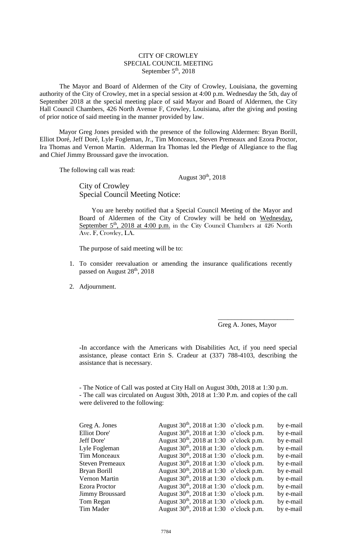## CITY OF CROWLEY SPECIAL COUNCIL MEETING September  $5<sup>th</sup>$ , 2018

The Mayor and Board of Aldermen of the City of Crowley, Louisiana, the governing authority of the City of Crowley, met in a special session at 4:00 p.m. Wednesday the 5th, day of September 2018 at the special meeting place of said Mayor and Board of Aldermen, the City Hall Council Chambers, 426 North Avenue F, Crowley, Louisiana, after the giving and posting of prior notice of said meeting in the manner provided by law.

Mayor Greg Jones presided with the presence of the following Aldermen: Bryan Borill, Elliot Doré, Jeff Doré, Lyle Fogleman, Jr., Tim Monceaux, Steven Premeaux and Ezora Proctor, Ira Thomas and Vernon Martin. Alderman Ira Thomas led the Pledge of Allegiance to the flag and Chief Jimmy Broussard gave the invocation.

The following call was read:

August 30th, 2018

City of Crowley Special Council Meeting Notice:

You are hereby notified that a Special Council Meeting of the Mayor and Board of Aldermen of the City of Crowley will be held on Wednesday, September  $5<sup>th</sup>$ , 2018 at 4:00 p.m. in the City Council Chambers at 426 North Ave. F, Crowley, LA.

The purpose of said meeting will be to:

- 1. To consider reevaluation or amending the insurance qualifications recently passed on August 28<sup>th</sup>, 2018
- 2. Adjournment.

Greg A. Jones, Mayor

\_\_\_\_\_\_\_\_\_\_\_\_\_\_\_\_\_\_\_\_\_\_\_

**-**In accordance with the Americans with Disabilities Act, if you need special assistance, please contact Erin S. Cradeur at (337) 788-4103, describing the assistance that is necessary.

- The Notice of Call was posted at City Hall on August 30th, 2018 at 1:30 p.m. - The call was circulated on August 30th, 2018 at 1:30 P.m. and copies of the call were delivered to the following:

|  | by e-mail                                                                                                                                                                                                                                                                                                                                                                                                                                                                                                                                                    |
|--|--------------------------------------------------------------------------------------------------------------------------------------------------------------------------------------------------------------------------------------------------------------------------------------------------------------------------------------------------------------------------------------------------------------------------------------------------------------------------------------------------------------------------------------------------------------|
|  | by e-mail                                                                                                                                                                                                                                                                                                                                                                                                                                                                                                                                                    |
|  | by e-mail                                                                                                                                                                                                                                                                                                                                                                                                                                                                                                                                                    |
|  | by e-mail                                                                                                                                                                                                                                                                                                                                                                                                                                                                                                                                                    |
|  | by e-mail                                                                                                                                                                                                                                                                                                                                                                                                                                                                                                                                                    |
|  | by e-mail                                                                                                                                                                                                                                                                                                                                                                                                                                                                                                                                                    |
|  | by e-mail                                                                                                                                                                                                                                                                                                                                                                                                                                                                                                                                                    |
|  | by e-mail                                                                                                                                                                                                                                                                                                                                                                                                                                                                                                                                                    |
|  | by e-mail                                                                                                                                                                                                                                                                                                                                                                                                                                                                                                                                                    |
|  | by e-mail                                                                                                                                                                                                                                                                                                                                                                                                                                                                                                                                                    |
|  | by e-mail                                                                                                                                                                                                                                                                                                                                                                                                                                                                                                                                                    |
|  | by e-mail                                                                                                                                                                                                                                                                                                                                                                                                                                                                                                                                                    |
|  | August $30th$ , $2018$ at 1:30 o'clock p.m.<br>August $30th$ , 2018 at 1:30 o'clock p.m.<br>August $30th$ , 2018 at 1:30 o'clock p.m.<br>August $30th$ , 2018 at 1:30 o'clock p.m.<br>August $30th$ , 2018 at 1:30 o'clock p.m.<br>August $30th$ , 2018 at 1:30 o'clock p.m.<br>August $30th$ , 2018 at 1:30 o'clock p.m.<br>August $30th$ , 2018 at 1:30 o'clock p.m.<br>August $30th$ , $2018$ at 1:30 o'clock p.m.<br>August $30th$ , 2018 at 1:30 o'clock p.m.<br>August $30th$ , 2018 at 1:30 o'clock p.m.<br>August $30th$ , 2018 at 1:30 o'clock p.m. |